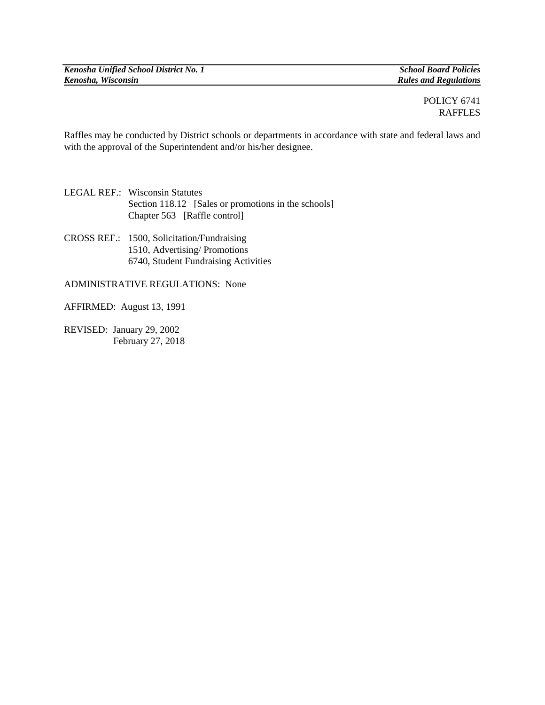*Kenosha Unified School District No. 1 School Board Policies*

 $Rules$  *and Regulations* 

## POLICY 6741 RAFFLES

Raffles may be conducted by District schools or departments in accordance with state and federal laws and with the approval of the Superintendent and/or his/her designee.

LEGAL REF.: Wisconsin Statutes Section 118.12 [Sales or promotions in the schools] Chapter 563 [Raffle control]

CROSS REF.: 1500, Solicitation/Fundraising 1510, Advertising/ Promotions 6740, Student Fundraising Activities

ADMINISTRATIVE REGULATIONS: None

AFFIRMED: August 13, 1991

REVISED: January 29, 2002 February 27, 2018